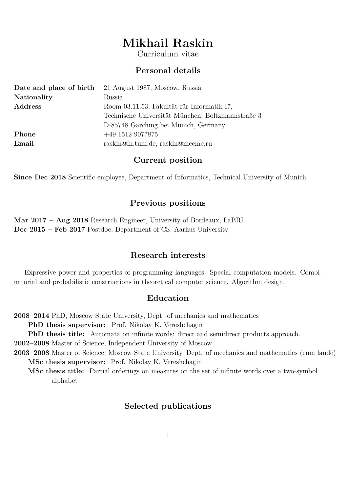# **Mikhail Raskin**

Curriculum vitae

# **Personal details**

| Date and place of birth | 21 August 1987, Moscow, Russia                    |
|-------------------------|---------------------------------------------------|
| Nationality             | Russia                                            |
| Address                 | Room 03.11.53, Fakultät für Informatik I7,        |
|                         | Technische Universität München, Boltzmannstraße 3 |
|                         | D-85748 Garching bei Munich, Germany              |
| Phone                   | $+49$ 1512 9077875                                |
| Email                   | raskin@in.tum.de, raskin@mccme.ru                 |
|                         |                                                   |

#### **Current position**

**Since Dec 2018** Scientific employee, Department of Informatics, Technical University of Munich

# **Previous positions**

**Mar 2017 – Aug 2018** Research Engineer, University of Bordeaux, LaBRI **Dec 2015 – Feb 2017** Postdoc, Department of CS, Aarhus University

# **Research interests**

Expressive power and properties of programming languages. Special computation models. Combinatorial and probabilistic constructions in theoretical computer science. Algorithm design.

### **Education**

**2008–2014** PhD, Moscow State University, Dept. of mechanics and mathematics **PhD thesis supervisor:** Prof. Nikolay K. Vereshchagin **PhD thesis title:** Automata on infinite words: direct and semidirect products approach. **2002–2008** Master of Science, Independent University of Moscow **2003–2008** Master of Science, Moscow State University, Dept. of mechanics and mathematics (cum laude) **MSc thesis supervisor:** Prof. Nikolay K. Vereshchagin **MSc thesis title:** Partial orderings on measures on the set of infinite words over a two-symbol alphabet

# **Selected publications**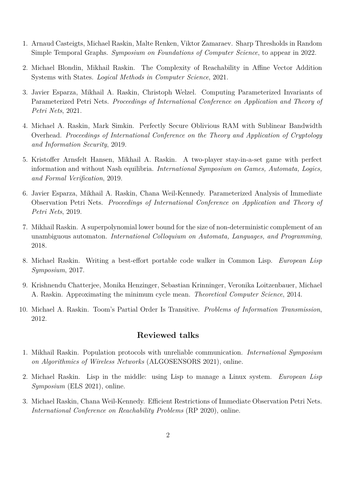- 1. Arnaud Casteigts, Michael Raskin, Malte Renken, Viktor Zamaraev. Sharp Thresholds in Random Simple Temporal Graphs. *Symposium on Foundations of Computer Science*, to appear in 2022.
- 2. Michael Blondin, Mikhail Raskin. The Complexity of Reachability in Affine Vector Addition Systems with States. *Logical Methods in Computer Science*, 2021.
- 3. Javier Esparza, Mikhail A. Raskin, Christoph Welzel. Computing Parameterized Invariants of Parameterized Petri Nets. *Proceedings of International Conference on Application and Theory of Petri Nets*, 2021.
- 4. Michael A. Raskin, Mark Simkin. Perfectly Secure Oblivious RAM with Sublinear Bandwidth Overhead. *Proceedings of International Conference on the Theory and Application of Cryptology and Information Security*, 2019.
- 5. Kristoffer Arnsfelt Hansen, Mikhail A. Raskin. A two-player stay-in-a-set game with perfect information and without Nash equilibria. *International Symposium on Games, Automata, Logics, and Formal Verification*, 2019.
- 6. Javier Esparza, Mikhail A. Raskin, Chana Weil-Kennedy. Parameterized Analysis of Immediate Observation Petri Nets. *Proceedings of International Conference on Application and Theory of Petri Nets*, 2019.
- 7. Mikhail Raskin. A superpolynomial lower bound for the size of non-deterministic complement of an unambiguous automaton. *International Colloquium on Automata, Languages, and Programming*, 2018.
- 8. Michael Raskin. Writing a best-effort portable code walker in Common Lisp. *European Lisp Symposium*, 2017.
- 9. Krishnendu Chatterjee, Monika Henzinger, Sebastian Krinninger, Veronika Loitzenbauer, Michael A. Raskin. Approximating the minimum cycle mean. *Theoretical Computer Science*, 2014.
- 10. Michael A. Raskin. Toom's Partial Order Is Transitive. *Problems of Information Transmission*, 2012.

# **Reviewed talks**

- 1. Mikhail Raskin. Population protocols with unreliable communication. *International Symposium on Algorithmics of Wireless Networks* (ALGOSENSORS 2021), online.
- 2. Michael Raskin. Lisp in the middle: using Lisp to manage a Linux system. *European Lisp Symposium* (ELS 2021), online.
- 3. Michael Raskin, Chana Weil-Kennedy. Efficient Restrictions of Immediate Observation Petri Nets. *International Conference on Reachability Problems* (RP 2020), online.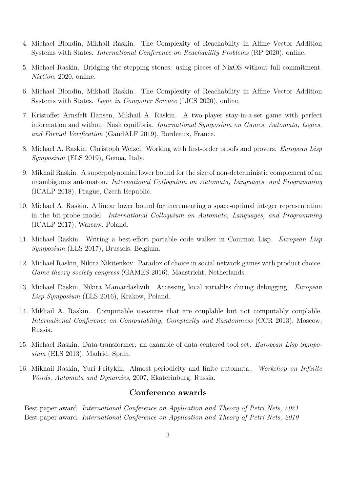- 4. Michael Blondin, Mikhail Raskin. The Complexity of Reachability in Affine Vector Addition Systems with States. *International Conference on Reachability Problems* (RP 2020), online.
- 5. Michael Raskin. Bridging the stepping stones: using pieces of NixOS without full commitment. *NixCon*, 2020, online.
- 6. Michael Blondin, Mikhail Raskin. The Complexity of Reachability in Affine Vector Addition Systems with States. *Logic in Computer Science* (LICS 2020), online.
- 7. Kristoffer Arnsfelt Hansen, Mikhail A. Raskin. A two-player stay-in-a-set game with perfect information and without Nash equilibria. *International Symposium on Games, Automata, Logics, and Formal Verification* (GandALF 2019), Bordeaux, France.
- 8. Michael A. Raskin, Christoph Welzel. Working with first-order proofs and provers. *European Lisp Symposium* (ELS 2019), Genoa, Italy.
- 9. Mikhail Raskin. A superpolynomial lower bound for the size of non-deterministic complement of an unambiguous automaton. *International Colloquium on Automata, Languages, and Programming* (ICALP 2018), Prague, Czech Republic.
- 10. Michael A. Raskin. A linear lower bound for incrementing a space-optimal integer representation in the bit-probe model. *International Colloquium on Automata, Languages, and Programming* (ICALP 2017), Warsaw, Poland.
- 11. Michael Raskin. Writing a best-effort portable code walker in Common Lisp. *European Lisp Symposium* (ELS 2017), Brussels, Belgium.
- 12. Michael Raskin, Nikita Nikitenkov. Paradox of choice in social network games with product choice. *Game theory society congress* (GAMES 2016), Maastricht, Netherlands.
- 13. Michael Raskin, Nikita Mamardashvili. Accessing local variables during debugging. *European Lisp Symposium* (ELS 2016), Krakow, Poland.
- 14. Mikhail A. Raskin. Computable measures that are couplable but not computably couplable. *International Conference on Computability, Complexity and Randomness* (CCR 2013), Moscow, Russia.
- 15. Michael Raskin. Data-transformer: an example of data-centered tool set. *European Lisp Symposium* (ELS 2013), Madrid, Spain.
- 16. Mikhail Raskin, Yuri Pritykin. Almost periodicity and finite automata.. *Workshop on Infinite Words, Automata and Dynamics*, 2007, Ekaterinburg, Russia.

### **Conference awards**

Best paper award. *International Conference on Application and Theory of Petri Nets, 2021* Best paper award. *International Conference on Application and Theory of Petri Nets, 2019*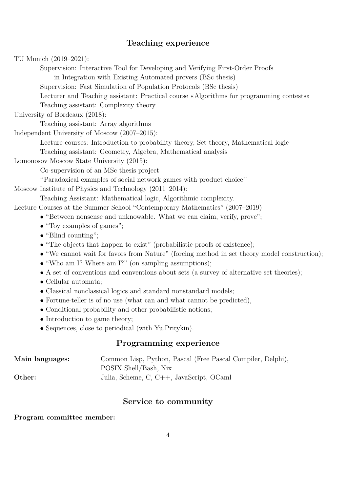# **Teaching experience**

TU Munich (2019–2021): Supervision: Interactive Tool for Developing and Verifying First-Order Proofs in Integration with Existing Automated provers (BSc thesis) Supervision: Fast Simulation of Population Protocols (BSc thesis) Lecturer and Teaching assistant: Practical course «Algorithms for programming contests» Teaching assistant: Complexity theory University of Bordeaux (2018): Teaching assistant: Array algorithms Independent University of Moscow (2007–2015): Lecture courses: Introduction to probability theory, Set theory, Mathematical logic Teaching assistant: Geometry, Algebra, Mathematical analysis Lomonosov Moscow State University (2015): Co-supervision of an MSc thesis project ''Paradoxical examples of social network games with product choice'' Moscow Institute of Physics and Technology (2011–2014): Teaching Assistant: Mathematical logic, Algorithmic complexity. Lecture Courses at the Summer School "Contemporary Mathematics" (2007–2019) • "Between nonsense and unknowable. What we can claim, verify, prove"; • "Toy examples of games"; • "Blind counting"; • "The objects that happen to exist" (probabilistic proofs of existence); • "We cannot wait for favors from Nature" (forcing method in set theory model construction); • "Who am I? Where am I?" (on sampling assumptions); • A set of conventions and conventions about sets (a survey of alternative set theories); *•* Cellular automata; *•* Classical nonclassical logics and standard nonstandard models; • Fortune-teller is of no use (what can and what cannot be predicted), • Conditional probability and other probabilistic notions; • Introduction to game theory;

*•* Sequences, close to periodical (with Yu.Pritykin).

# **Programming experience**

| Main languages: | Common Lisp, Python, Pascal (Free Pascal Compiler, Delphi), |
|-----------------|-------------------------------------------------------------|
|                 | POSIX Shell/Bash, Nix                                       |
| Other:          | Julia, Scheme, C, C++, JavaScript, OCaml                    |

# **Service to community**

#### **Program committee member:**